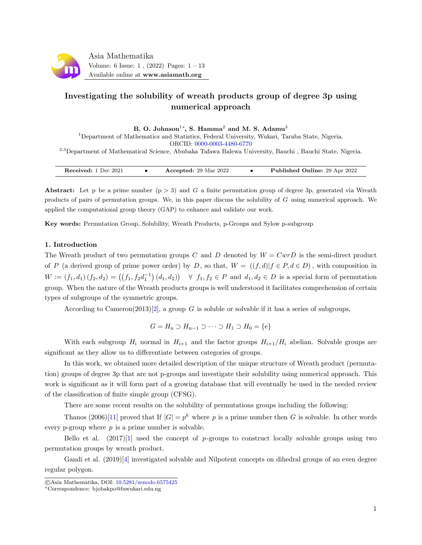

# Investigating the solubility of wreath products group of degree 3p using numerical approach

B. O. Johnson $^{1*}$ , S. Hamma $^{2}$  and M. S. Adamu $^{3}$ 

<sup>1</sup>Department of Mathematics and Statistics, Federal University, Wukari, Taraba State, Nigeria. ORCID: [0000-0003-4480-6770](https://orcid.org/0000-0003-4480-6770)

<sup>2</sup>,<sup>3</sup>Department of Mathematical Science, Abubaka Tafawa Balewa University, Bauchi , Bauchi State, Nigeria.

| Accepted: 29 Mar 2022<br>Received: 1 Dec 2021 |  | <b>Published Online: 29 Apr 2022</b> |
|-----------------------------------------------|--|--------------------------------------|
|-----------------------------------------------|--|--------------------------------------|

Abstract: Let p be a prime number  $(p > 3)$  and G a finite permutation group of degree 3p, generated via Wreath products of pairs of permutation groups. We, in this paper discuss the solubility of  $G$  using numerical approach. We applied the computational group theory (GAP) to enhance and validate our work.

Key words: Permutation Group, Solubility, Wreath Products, p-Groups and Sylow p-subgroup.

# 1. Introduction

The Wreath product of two permutation groups C and D denoted by  $W = Cw\tau D$  is the semi-direct product of P (a derived group of prime power order) by D, so that,  $W = ((f, d)|f \in P, d \in D)$ , with composition in  $W := (f_1, d_1) (f_2, d_2) = ((f_1, f_2d_1^{-1}) (d_1, d_2)) \quad \forall \ f_1, f_2 \in P \text{ and } d_1, d_2 \in D \text{ is a special form of permutation }$ group. When the nature of the Wreath products groups is well understood it facilitates comprehension of certain types of subgroups of the symmetric groups.

According to Cameron(2013)[\[2\]](#page-11-0), a group G is soluble or solvable if it has a series of subgroups,

$$
G = H_n \supset H_{n-1} \supset \cdots \supset H_1 \supset H_0 = \{e\}
$$

With each subgroup  $H_i$  normal in  $H_{i+1}$  and the factor groups  $H_{i+1}/H_i$  abelian. Solvable groups are significant as they allow us to differentiate between categories of groups.

In this work, we obtained more detailed description of the unique structure of Wreath product (permutation) groups of degree 3p that are not p-groups and investigate their solubility using numerical approach. This work is significant as it will form part of a growing database that will eventually be used in the needed review of the classification of finite simple group (CFSG).

There are some recent results on the solubility of permutations groups including the following:

Thanos (2006)[\[11\]](#page-12-0) proved that If  $|G| = p^k$  where p is a prime number then G is solvable. In other words every p-group where  $p$  is a prime number is solvable.

Bello et al.  $(2017)[1]$  $(2017)[1]$  used the concept of p-groups to construct locally solvable groups using two permutation groups by wreath product.

Gandi et al. (2019)[\[4\]](#page-11-2) investigated solvable and Nilpotent concepts on dihedral groups of an even degree regular polygon.

c Asia Mathematika, DOI: [10.5281/zenodo.6575425](http://www.asiamath.org/article/vol6iss1/AM-2112-3009.pdf)

<sup>∗</sup>Correspondence: bjobakpo@fuwukari.edu.ng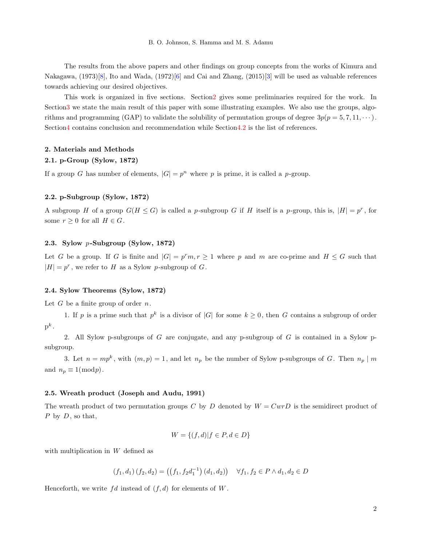The results from the above papers and other findings on group concepts from the works of Kimura and Nakagawa, (1973)[\[8\]](#page-12-1), Ito and Wada, (1972)[\[6\]](#page-12-2) and Cai and Zhang, (2015)[\[3\]](#page-11-3) will be used as valuable references towards achieving our desired objectives.

This work is organized in five sections. Sectio[n2](#page-1-0) gives some preliminaries required for the work. In Sectio[n3](#page-3-0) we state the main result of this paper with some illustrating examples. We also use the groups, algorithms and programming (GAP) to validate the solubility of permutation groups of degree  $3p(p = 5, 7, 11, \dots)$ . Sectio[n4](#page-11-4) contains conclusion and recommendation while Sectio[n4.2](#page-11-5) is the list of references.

## <span id="page-1-0"></span>2. Materials and Methods

## 2.1. p-Group (Sylow, 1872)

If a group G has number of elements,  $|G| = p^n$  where p is prime, it is called a p-group.

#### 2.2. p-Subgroup (Sylow, 1872)

A subgroup H of a group  $G(H \leq G)$  is called a p-subgroup G if H itself is a p-group, this is,  $|H| = p^r$ , for some  $r \geq 0$  for all  $H \in G$ .

## 2.3. Sylow p-Subgroup (Sylow, 1872)

Let G be a group. If G is finite and  $|G| = p^r m$ ,  $r \ge 1$  where p and m are co-prime and  $H \le G$  such that  $|H| = p^r$ , we refer to H as a Sylow p-subgroup of G.

#### 2.4. Sylow Theorems (Sylow, 1872)

Let  $G$  be a finite group of order  $n$ .

1. If p is a prime such that  $p^k$  is a divisor of  $|G|$  for some  $k \geq 0$ , then G contains a subgroup of order  $\mathrm{p}^k$  .

2. All Sylow p-subgroups of G are conjugate, and any p-subgroup of G is contained in a Sylow psubgroup.

3. Let  $n = mp^k$ , with  $(m, p) = 1$ , and let  $n_p$  be the number of Sylow p-subgroups of G. Then  $n_p | m$ and  $n_p \equiv 1 \pmod{p}$ .

#### 2.5. Wreath product (Joseph and Audu, 1991)

The wreath product of two permutation groups C by D denoted by  $W = Cw\overline{v}D$  is the semidirect product of  $P$  by  $D$ , so that,

$$
W = \{(f, d) | f \in P, d \in D\}
$$

with multiplication in W defined as

$$
(f_1, d_1) (f_2, d_2) = ((f_1, f_2d_1^{-1}) (d_1, d_2)) \quad \forall f_1, f_2 \in P \land d_1, d_2 \in D
$$

Henceforth, we write  $fd$  instead of  $(f, d)$  for elements of  $W$ .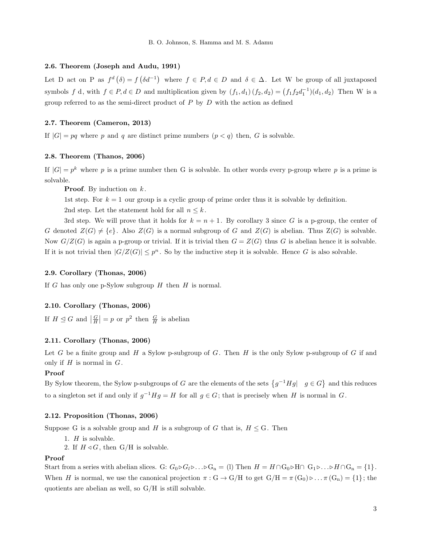#### 2.6. Theorem (Joseph and Audu, 1991)

Let D act on P as  $f^d(\delta) = f(\delta d^{-1})$  where  $f \in P, d \in D$  and  $\delta \in \Delta$ . Let W be group of all juxtaposed symbols f d, with  $f \in P, d \in D$  and multiplication given by  $(f_1, d_1) (f_2, d_2) = (f_1 f_2 d_1^{-1})(d_1, d_2)$  Then W is a group referred to as the semi-direct product of  $P$  by  $D$  with the action as defined

#### 2.7. Theorem (Cameron, 2013)

If  $|G| = pq$  where p and q are distinct prime numbers  $(p < q)$  then, G is solvable.

#### 2.8. Theorem (Thanos, 2006)

If  $|G| = p^k$  where p is a prime number then G is solvable. In other words every p-group where p is a prime is solvable.

**Proof.** By induction on  $k$ .

1st step. For  $k = 1$  our group is a cyclic group of prime order thus it is solvable by definition.

2nd step. Let the statement hold for all  $n \leq k$ .

3rd step. We will prove that it holds for  $k = n + 1$ . By corollary 3 since G is a p-group, the center of G denoted  $Z(G) \neq \{e\}$ . Also  $Z(G)$  is a normal subgroup of G and  $Z(G)$  is abelian. Thus  $Z(G)$  is solvable. Now  $G/Z(G)$  is again a p-group or trivial. If it is trivial then  $G = Z(G)$  thus G is abelian hence it is solvable. If it is not trivial then  $|G/Z(G)| \leq p^n$ . So by the inductive step it is solvable. Hence G is also solvable.

#### 2.9. Corollary (Thonas, 2006)

If G has only one p-Sylow subgroup  $H$  then  $H$  is normal.

# 2.10. Corollary (Thonas, 2006)

If  $H \leq G$  and  $\left| \frac{G}{H} \right| = p$  or  $p^2$  then  $\frac{G}{H}$  is abelian

# 2.11. Corollary (Thonas, 2006)

Let G be a finite group and H a Sylow p-subgroup of G. Then H is the only Sylow p-subgroup of G if and only if  $H$  is normal in  $G$ .

# Proof

By Sylow theorem, the Sylow p-subgroups of G are the elements of the sets  $\{g^{-1}Hg| \mid g \in G\}$  and this reduces to a singleton set if and only if  $g^{-1}Hg = H$  for all  $g \in G$ ; that is precisely when H is normal in G.

#### 2.12. Proposition (Thonas, 2006)

Suppose G is a solvable group and H is a subgroup of G that is,  $H \leq G$ . Then

- 1.  $H$  is solvable.
- 2. If  $H \triangleleft G$ , then  $G/H$  is solvable.

#### Proof

Start from a series with abelian slices. G:  $G_0 \triangleright G_l \triangleright \ldots \triangleright G_n = (1)$  Then  $H = H \cap G_0 \triangleright H \cap G_1 \triangleright \ldots \triangleright H \cap G_n = \{1\}$ . When H is normal, we use the canonical projection  $\pi: G \to G/H$  to get  $G/H = \pi(G_0) \triangleright ... \pi(G_n) = \{1\}$ ; the quotients are abelian as well, so G/H is still solvable.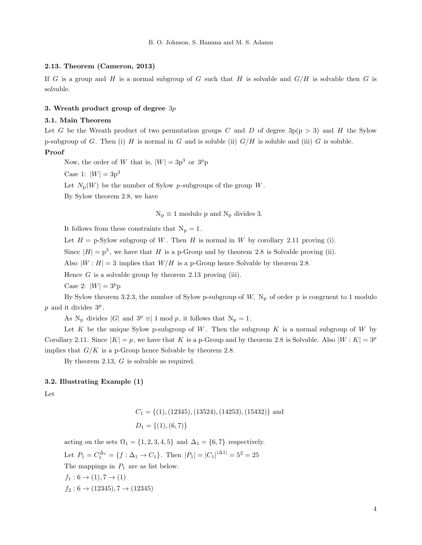#### 2.13. Theorem (Cameron, 2013)

If G is a group and H is a normal subgroup of G such that H is solvable and  $G/H$  is solvable then G is solvable.

#### <span id="page-3-0"></span>3. Wreath product group of degree  $3p$

# 3.1. Main Theorem

Let G be the Wreath product of two permutation groups C and D of degree  $3p(p > 3)$  and H the Sylow p-subgroup of G. Then (i) H is normal in G and is soluble (ii)  $G/H$  is soluble and (iii) G is soluble.

# Proof

Now, the order of W that is,  $|W| = 3p^3$  or  $3^p p$ 

Case 1:  $|W| = 3p^3$ 

Let  $N_p(W)$  be the number of Sylow p-subgroups of the group W.

By Sylow theorem 2.8, we have

 $N_p \equiv 1$  modulo p and  $N_p$  divides 3.

It follows from these constraints that  $N_p = 1$ .

Let  $H = p$ -Sylow subgroup of W. Then H is normal in W by corollary 2.11 proving (i).

Since  $|H| = p<sup>3</sup>$ , we have that H is a p-Group and by theorem 2.8 is Solvable proving (ii).

Also  $|W : H| = 3$  implies that  $W/H$  is a p-Group hence Solvable by theorem 2.8.

Hence  $G$  is a solvable group by theorem 2.13 proving (iii).

Case 2:  $|W| = 3^p p$ 

By Sylow theorem 3.2.3, the number of Sylow p-subgroup of  $W$ ,  $N_p$  of order p is congruent to 1 modulo  $p$  and it divides  $3^p$ .

As N<sub>p</sub> divides  $|G|$  and  $3^p \equiv 1 \mod p$ , it follows that N<sub>p</sub> = 1.

Let K be the unique Sylow p-subgroup of W. Then the subgroup K is a normal subgroup of W by Corollary 2.11. Since  $|K| = p$ , we have that K is a p-Group and by theorem 2.8 is Solvable. Also  $|W:K| = 3^p$ implies that  $G/K$  is a p-Group hence Solvable by theorem 2.8.

By theorem 2.13, G is solvable as required.

# 3.2. Illustrating Example (1)

Let

$$
C_1 = \{(1), (12345), (13524), (14253), (15432)\}
$$
 and  

$$
D_1 = \{(1), (6, 7)\}
$$

acting on the sets  $\Omega_1 = \{1, 2, 3, 4, 5\}$  and  $\Delta_1 = \{6, 7\}$  respectively.

Let  $P_1 = C_1^{\Delta_1} = \{f : \Delta_1 \to C_1\}$ . Then  $|P_1| = |C_1|^{|\Delta_1|} = 5^2 = 25$ 

The mappings in  $P_1$  are as list below.

 $f_1: 6 \to (1), 7 \to (1)$  $f_2$ :  $6 \rightarrow (12345), 7 \rightarrow (12345)$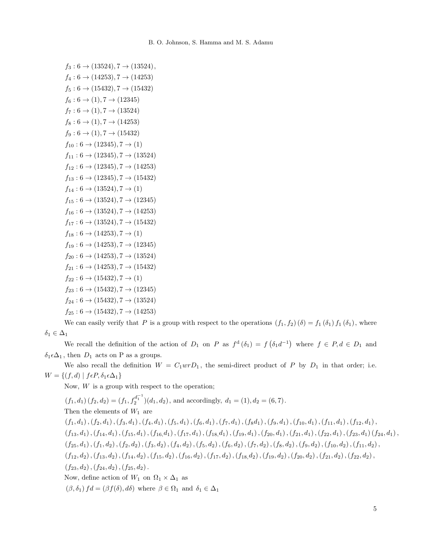```
f_3: 6 \rightarrow (13524), 7 \rightarrow (13524),f_4: 6 \rightarrow (14253), 7 \rightarrow (14253)f_5: 6 \rightarrow (15432), 7 \rightarrow (15432)f_6: 6 \rightarrow (1), 7 \rightarrow (12345)f_7: 6 \rightarrow (1), 7 \rightarrow (13524)f_8: 6 \rightarrow (1), 7 \rightarrow (14253)f_9: 6 \rightarrow (1), 7 \rightarrow (15432)f_{10}: 6 \rightarrow (12345), 7 \rightarrow (1)f_{11}: 6 \rightarrow (12345), 7 \rightarrow (13524)f_{12}: 6 \rightarrow (12345), 7 \rightarrow (14253)f_{13}: 6 \rightarrow (12345), 7 \rightarrow (15432)f_{14}: 6 \rightarrow (13524), 7 \rightarrow (1)f_{15}: 6 \rightarrow (13524), 7 \rightarrow (12345)f_{16}: 6 \rightarrow (13524), 7 \rightarrow (14253)f_{17}: 6 \rightarrow (13524), 7 \rightarrow (15432)f_{18}: 6 \rightarrow (14253), 7 \rightarrow (1)f_{19}: 6 \rightarrow (14253), 7 \rightarrow (12345)f_{20}: 6 \rightarrow (14253), 7 \rightarrow (13524)f_{21}: 6 \rightarrow (14253), 7 \rightarrow (15432)f_{22}: 6 \rightarrow (15432), 7 \rightarrow (1)f_{23}: 6 \rightarrow (15432), 7 \rightarrow (12345)f_{24}: 6 \rightarrow (15432), 7 \rightarrow (13524)f_{25}: 6 \rightarrow (15432), 7 \rightarrow (14253)
```
We can easily verify that P is a group with respect to the operations  $(f_1, f_2)$   $(\delta) = f_1(\delta_1) f_1(\delta_1)$ , where  $\delta_1 \in \Delta_1$ 

We recall the definition of the action of  $D_1$  on P as  $f^d(\delta_1) = f(\delta_1 d^{-1})$  where  $f \in P, d \in D_1$  and  $\delta_1 \epsilon \Delta_1$ , then  $D_1$  acts on P as a groups.

We also recall the definition  $W = C_1 w r D_1$ , the semi-direct product of P by  $D_1$  in that order; i.e.  $W = \{(f, d) \mid f \in P, \delta_1 \in \Delta_1\}$ 

Now,  $W$  is a group with respect to the operation;

 $(f_1, d_1)$   $(f_2, d_2) = (f_1, f_2^{d_1^{-1}})$  $(d_1, d_2)$ , and accordingly,  $d_1 = (1), d_2 = (6, 7)$ . Then the elements of  $W_1$  are  $(f_1, d_1), (f_2, d_1), (f_3, d_1), (f_4, d_1), (f_5, d_1), (f_6, d_1), (f_7, d_1), (f_8d_1), (f_9, d_1), (f_{10}, d_1), (f_{11}, d_1), (f_{12}, d_1),$  $(f_{13}, d_1), (f_{14}, d_1), (f_{15}, d_1), (f_{16}, d_1), (f_{17}, d_1), (f_{18}, d_1), (f_{19}, d_1), (f_{20}, d_1), (f_{21}, d_1), (f_{22}, d_1), (f_{23}, d_1) (f_{24}, d_1),$  $(f_{25}, d_1), (f_1, d_2), (f_2, d_2), (f_3, d_2), (f_4, d_2), (f_5, d_2), (f_6, d_2), (f_7, d_2), (f_8, d_2), (f_9, d_2), (f_{10}, d_2), (f_{11}, d_2),$  $(f_{12}, d_2), (f_{13}, d_2), (f_{14}, d_2), (f_{15}, d_2), (f_{16}, d_2), (f_{17}, d_2), (f_{18}, d_2), (f_{19}, d_2), (f_{20}, d_2), (f_{21}, d_2), (f_{22}, d_2),$  $(f_{23}, d_2)$ ,  $(f_{24}, d_2)$ ,  $(f_{25}, d_2)$ . Now, define action of  $W_1$  on  $\Omega_1 \times \Delta_1$  as  $(\beta, \delta_1) fd = (\beta f(\delta), d\delta)$  where  $\beta \in \Omega_1$  and  $\delta_1 \in \Delta_1$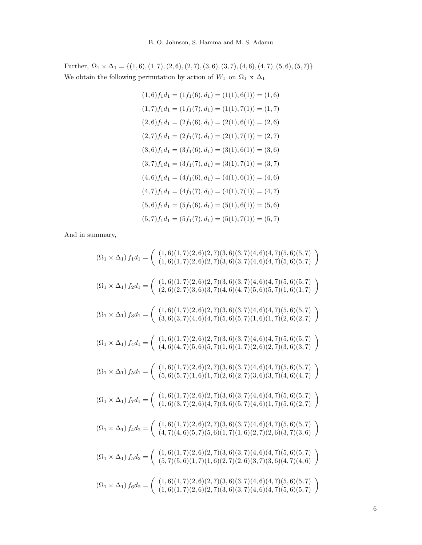Further,  $\,\Omega_1 \times \Delta_1 = \{(1,6), (1,7), (2,6), (2,7), (3,6), (3,7), (4,6), (4,7), (5,6), (5,7)\}$ We obtain the following permutation by action of  $W_1$  on  $\Omega_1$  x  $\Delta_1$ 

$$
(1,6) f_1 d_1 = (1 f_1(6), d_1) = (1(1), 6(1)) = (1, 6)
$$

$$
(1,7) f_1 d_1 = (1 f_1(7), d_1) = (1(1), 7(1)) = (1, 7)
$$

$$
(2,6) f_1 d_1 = (2 f_1(6), d_1) = (2(1), 6(1)) = (2, 6)
$$

$$
(2,7) f_1 d_1 = (2 f_1(7), d_1) = (2(1), 7(1)) = (2, 7)
$$

$$
(3,6) f_1 d_1 = (3 f_1(6), d_1) = (3(1), 6(1)) = (3, 6)
$$

$$
(3,7) f_1 d_1 = (3 f_1(7), d_1) = (3(1), 7(1)) = (3, 7)
$$

$$
(4,6) f_1 d_1 = (4 f_1(6), d_1) = (4(1), 6(1)) = (4, 6)
$$

$$
(4,7) f_1 d_1 = (4 f_1(7), d_1) = (4(1), 7(1)) = (4, 7)
$$

$$
(5,6) f_1 d_1 = (5 f_1(6), d_1) = (5(1), 6(1)) = (5, 6)
$$

$$
(5,7) f_1 d_1 = (5 f_1(7), d_1) = (5(1), 7(1)) = (5, 7)
$$

And in summary,

$$
(\Omega_1 \times \Delta_1) f_1 d_1 = \begin{pmatrix} (1,6)(1,7)(2,6)(2,7)(3,6)(3,7)(4,6)(4,7)(5,6)(5,7) \\ (1,6)(1,7)(2,6)(2,7)(3,6)(3,7)(4,6)(4,7)(5,6)(5,7) \end{pmatrix}
$$
  
\n
$$
(\Omega_1 \times \Delta_1) f_2 d_1 = \begin{pmatrix} (1,6)(1,7)(2,6)(2,7)(3,6)(3,7)(4,6)(4,7)(5,6)(5,7) \\ (2,6)(2,7)(3,6)(3,7)(4,6)(4,7)(5,6)(5,7)(1,6)(1,7) \end{pmatrix}
$$
  
\n
$$
(\Omega_1 \times \Delta_1) f_3 d_1 = \begin{pmatrix} (1,6)(1,7)(2,6)(2,7)(3,6)(3,7)(4,6)(4,7)(5,6)(5,7)(1,6)(1,7) \\ (3,6)(3,7)(4,6)(4,7)(5,6)(5,7)(1,6)(1,7)(2,6)(2,7) \end{pmatrix}
$$
  
\n
$$
(\Omega_1 \times \Delta_1) f_4 d_1 = \begin{pmatrix} (1,6)(1,7)(2,6)(2,7)(3,6)(3,7)(4,6)(4,7)(5,6)(5,7) \\ (4,6)(4,7)(5,6)(5,7)(1,6)(1,7)(2,6)(2,7)(3,6)(3,7) \end{pmatrix}
$$
  
\n
$$
(\Omega_1 \times \Delta_1) f_5 d_1 = \begin{pmatrix} (1,6)(1,7)(2,6)(2,7)(3,6)(3,7)(4,6)(4,7)(5,6)(5,7) \\ (5,6)(5,7)(1,6)(1,7)(2,6)(2,7)(3,6)(3,7)(4,6)(4,7)(5,6)(5,7) \end{pmatrix}
$$
  
\n
$$
(\Omega_1 \times \Delta_1) f_7 d_1 = \begin{pmatrix} (1,6)(1,7)(2,6)(2,7)(3,6)(3,7)(4,6)(4,7)(5,6)(5,7) \\ (1,6)(3,7)(2,6)(2,7)(3,6)(3,7)(4,6)(4,7)(5,6)(5,7) \end{pmatrix}
$$
  
\n<math display="block</math>

6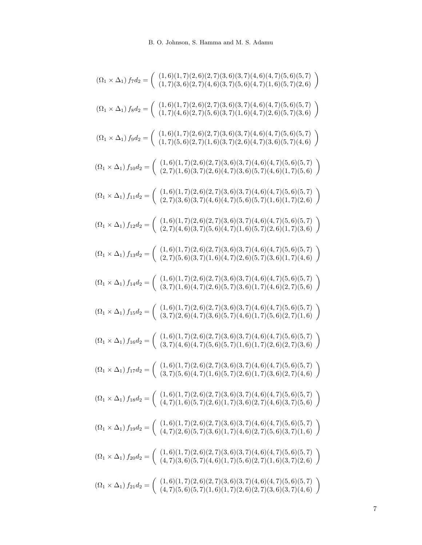| $(\Omega_1 \times \Delta_1) f_7 d_2 = \begin{pmatrix} (1,6)(1,7)(2,6)(2,7)(3,6)(3,7)(4,6)(4,7)(5,6)(5,7) \\ (1,7)(3,6)(2,7)(4,6)(3,7)(5,6)(4,7)(1,6)(5,7)(2,6) \end{pmatrix}$                     |
|---------------------------------------------------------------------------------------------------------------------------------------------------------------------------------------------------|
| $\left(\Omega_1\times\Delta_1\right)f_8d_2=\left(\begin{array}{c} (1,6)(1,7)(2,6)(2,7)(3,6)(3,7)(4,6)(4,7)(5,6)(5,7) \\ (1,7)(4,6)(2,7)(5,6)(3,7)(1,6)(4,7)(2,6)(5,7)(3,6) \end{array}\right)$    |
| $\left(\Omega_1\times\Delta_1\right)f_9d_2=\left(\begin{array}{c} (1,6)(1,7)(2,6)(2,7)(3,6)(3,7)(4,6)(4,7)(5,6)(5,7) \\ (1,7)(5,6)(2,7)(1,6)(3,7)(2,6)(4,7)(3,6)(5,7)(4,6) \end{array}\right)$    |
| $\left(\Omega_1\times\Delta_1\right)f_{10}d_2=\left(\begin{array}{c} (1,6)(1,7)(2,6)(2,7)(3,6)(3,7)(4,6)(4,7)(5,6)(5,7) \\ (2,7)(1,6)(3,7)(2,6)(4,7)(3,6)(5,7)(4,6)(1,7)(5,6) \end{array}\right)$ |
| $\left(\Omega_1\times\Delta_1\right)f_{11}d_2=\left(\begin{array}{c} (1,6)(1,7)(2,6)(2,7)(3,6)(3,7)(4,6)(4,7)(5,6)(5,7) \\ (2,7)(3,6)(3,7)(4,6)(4,7)(5,6)(5,7)(1,6)(1,7)(2,6) \end{array}\right)$ |
| $\left(\Omega_1\times\Delta_1\right)f_{12}d_2=\left(\begin{array}{c} (1,6)(1,7)(2,6)(2,7)(3,6)(3,7)(4,6)(4,7)(5,6)(5,7) \\ (2,7)(4,6)(3,7)(5,6)(4,7)(1,6)(5,7)(2,6)(1,7)(3,6) \end{array}\right)$ |
| $\left(\Omega_1\times\Delta_1\right)f_{13}d_2=\left(\begin{array}{c} (1,6)(1,7)(2,6)(2,7)(3,6)(3,7)(4,6)(4,7)(5,6)(5,7) \\ (2,7)(5,6)(3,7)(1,6)(4,7)(2,6)(5,7)(3,6)(1,7)(4,6) \end{array}\right)$ |
| $\left(\Omega_1\times\Delta_1\right)f_{14}d_2=\left(\begin{array}{c} (1,6)(1,7)(2,6)(2,7)(3,6)(3,7)(4,6)(4,7)(5,6)(5,7) \\ (3,7)(1,6)(4,7)(2,6)(5,7)(3,6)(1,7)(4,6)(2,7)(5,6) \end{array}\right)$ |
| $\left(\Omega_1\times\Delta_1\right)f_{15}d_2=\left(\begin{array}{c} (1,6)(1,7)(2,6)(2,7)(3,6)(3,7)(4,6)(4,7)(5,6)(5,7) \\ (3,7)(2,6)(4,7)(3,6)(5,7)(4,6)(1,7)(5,6)(2,7)(1,6) \end{array}\right)$ |
| $\left(\Omega_1\times\Delta_1\right)f_{16}d_2=\left(\begin{array}{c} (1,6)(1,7)(2,6)(2,7)(3,6)(3,7)(4,6)(4,7)(5,6)(5,7) \\ (3,7)(4,6)(4,7)(5,6)(5,7)(1,6)(1,7)(2,6)(2,7)(3,6) \end{array}\right)$ |
| $(\Omega_1 \times \Delta_1) f_{17} d_2 = \begin{pmatrix} (1,6)(1,7)(2,6)(2,7)(3,6)(3,7)(4,6)(4,7)(5,6)(5,7) \\ (3,7)(5,6)(4,7)(1,6)(5,7)(2,6)(1,7)(3,6)(2,7)(4,6) \end{pmatrix}$                  |
| $(\Omega_1 \times \Delta_1) f_{18} d_2 = \begin{pmatrix} (1,6)(1,7)(2,6)(2,7)(3,6)(3,7)(4,6)(4,7)(5,6)(5,7) \\ (4,7)(1,6)(5,7)(2,6)(1,7)(3,6)(2,7)(4,6)(3,7)(5,6) \end{pmatrix}$                  |
| $\left(\Omega_1\times\Delta_1\right)f_{19}d_2=\left(\begin{array}{c} (1,6)(1,7)(2,6)(2,7)(3,6)(3,7)(4,6)(4,7)(5,6)(5,7)\\ (4,7)(2,6)(5,7)(3,6)(1,7)(4,6)(2,7)(5,6)(3,7)(1,6) \end{array}\right)$  |
| $\left(\Omega_1\times\Delta_1\right)f_{20}d_2=\left(\begin{array}{c} (1,6)(1,7)(2,6)(2,7)(3,6)(3,7)(4,6)(4,7)(5,6)(5,7) \\ (4,7)(3,6)(5,7)(4,6)(1,7)(5,6)(2,7)(1,6)(3,7)(2,6) \end{array}\right)$ |
| $\left(\Omega_1\times\Delta_1\right)f_{21}d_2=\left(\begin{array}{c} (1,6)(1,7)(2,6)(2,7)(3,6)(3,7)(4,6)(4,7)(5,6)(5,7)\\ (4,7)(5,6)(5,7)(1,6)(1,7)(2,6)(2,7)(3,6)(3,7)(4,6) \end{array}\right)$  |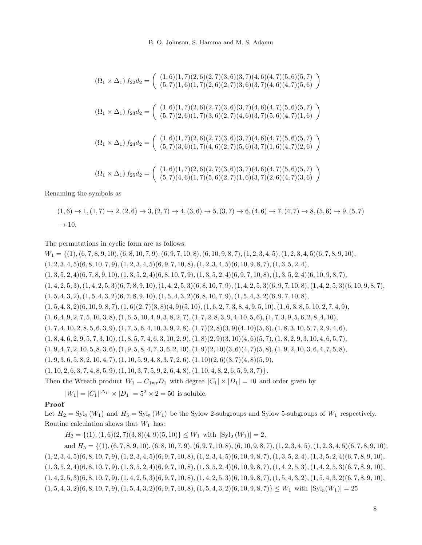$$
(\Omega_1 \times \Delta_1) f_{22} d_2 = \begin{pmatrix} (1,6)(1,7)(2,6)(2,7)(3,6)(3,7)(4,6)(4,7)(5,6)(5,7) \\ (5,7)(1,6)(1,7)(2,6)(2,7)(3,6)(3,7)(4,6)(4,7)(5,6) \end{pmatrix}
$$
  

$$
(\Omega_1 \times \Delta_1) f_{23} d_2 = \begin{pmatrix} (1,6)(1,7)(2,6)(2,7)(3,6)(3,7)(4,6)(4,7)(5,6)(5,7) \\ (5,7)(2,6)(1,7)(3,6)(2,7)(4,6)(3,7)(5,6)(4,7)(1,6) \end{pmatrix}
$$
  

$$
(\Omega_1 \times \Delta_1) f_{24} d_2 = \begin{pmatrix} (1,6)(1,7)(2,6)(2,7)(3,6)(3,7)(4,6)(4,7)(5,6)(5,7) \\ (5,7)(3,6)(1,7)(4,6)(2,7)(5,6)(3,7)(1,6)(4,7)(2,6) \end{pmatrix}
$$
  

$$
(\Omega_1 \times \Delta_1) f_{25} d_2 = \begin{pmatrix} (1,6)(1,7)(2,6)(2,7)(3,6)(3,7)(4,6)(4,7)(5,6)(5,7) \\ (5,7)(4,6)(1,7)(5,6)(2,7)(1,6)(3,7)(2,6)(4,7)(3,6) \end{pmatrix}
$$

Renaming the symbols as

$$
(1,6) \rightarrow 1, (1,7) \rightarrow 2, (2,6) \rightarrow 3, (2,7) \rightarrow 4, (3,6) \rightarrow 5, (3,7) \rightarrow 6, (4,6) \rightarrow 7, (4,7) \rightarrow 8, (5,6) \rightarrow 9, (5,7) \rightarrow 10,
$$

The permutations in cyclic form are as follows.

 $W_1 = \{(1), (6, 7, 8, 9, 10), (6, 8, 10, 7, 9), (6, 9, 7, 10, 8), (6, 10, 9, 8, 7), (1, 2, 3, 4, 5), (1, 2, 3, 4, 5), (6, 7, 8, 9, 10),$  $(1, 2, 3, 4, 5)(6, 8, 10, 7, 9), (1, 2, 3, 4, 5)(6, 9, 7, 10, 8), (1, 2, 3, 4, 5)(6, 10, 9, 8, 7), (1, 3, 5, 2, 4),$  $(1, 3, 5, 2, 4)(6, 7, 8, 9, 10), (1, 3, 5, 2, 4)(6, 8, 10, 7, 9), (1, 3, 5, 2, 4)(6, 9, 7, 10, 8), (1, 3, 5, 2, 4)(6, 10, 9, 8, 7)$  $(1, 4, 2, 5, 3), (1, 4, 2, 5, 3)(6, 7, 8, 9, 10), (1, 4, 2, 5, 3)(6, 8, 10, 7, 9), (1, 4, 2, 5, 3)(6, 9, 7, 10, 8), (1, 4, 2, 5, 3)(6, 10, 9, 8, 7)$  $(1, 5, 4, 3, 2), (1, 5, 4, 3, 2)(6, 7, 8, 9, 10), (1, 5, 4, 3, 2)(6, 8, 10, 7, 9), (1, 5, 4, 3, 2)(6, 9, 7, 10, 8),$  $(1, 5, 4, 3, 2)(6, 10, 9, 8, 7), (1, 6)(2, 7)(3, 8)(4, 9)(5, 10), (1, 6, 2, 7, 3, 8, 4, 9, 5, 10), (1, 6, 3, 8, 5, 10, 2, 7, 4, 9)$  $(1, 6, 4, 9, 2, 7, 5, 10, 3, 8), (1, 6, 5, 10, 4, 9, 3, 8, 2, 7), (1, 7, 2, 8, 3, 9, 4, 10, 5, 6), (1, 7, 3, 9, 5, 6, 2, 8, 4, 10),$  $(1, 7, 4, 10, 2, 8, 5, 6, 3, 9), (1, 7, 5, 6, 4, 10, 3, 9, 2, 8), (1, 7)(2, 8)(3, 9)(4, 10)(5, 6), (1, 8, 3, 10, 5, 7, 2, 9, 4, 6),$  $(1, 8, 4, 6, 2, 9, 5, 7, 3, 10), (1, 8, 5, 7, 4, 6, 3, 10, 2, 9), (1, 8)(2, 9)(3, 10)(4, 6)(5, 7), (1, 8, 2, 9, 3, 10, 4, 6, 5, 7)$  $(1, 9, 4, 7, 2, 10, 5, 8, 3, 6), (1, 9, 5, 8, 4, 7, 3, 6, 2, 10), (1, 9)(2, 10)(3, 6)(4, 7)(5, 8), (1, 9, 2, 10, 3, 6, 4, 7, 5, 8)$  $(1, 9, 3, 6, 5, 8, 2, 10, 4, 7), (1, 10, 5, 9, 4, 8, 3, 7, 2, 6), (1, 10)(2, 6)(3, 7)(4, 8)(5, 9),$  $(1, 10, 2, 6, 3, 7, 4, 8, 5, 9), (1, 10, 3, 7, 5, 9, 2, 6, 4, 8), (1, 10, 4, 8, 2, 6, 5, 9, 3, 7)\}.$ Then the Wreath product  $W_1 = C_{1wr}D_1$  with degree  $|C_1| \times |D_1| = 10$  and order given by

 $|W_1| = |C_1|^{|\Delta_1|} \times |D_1| = 5^2 \times 2 = 50$  is soluble.

# Proof

Let  $H_2 = \mathrm{Syl}_2(W_1)$  and  $H_5 = \mathrm{Syl}_5(W_1)$  be the Sylow 2-subgroups and Sylow 5-subgroups of  $W_1$  respectively. Routine calculation shows that  $W_1$  has:

 $H_2 = \{(1), (1, 6)(2, 7)(3, 8)(4, 9)(5, 10)\}\leq W_1$  with  $|\text{Syl}_2(W_1)| = 2$ ,

and  $H_5 = \{(1), (6, 7, 8, 9, 10), (6, 8, 10, 7, 9), (6, 9, 7, 10, 8), (6, 10, 9, 8, 7), (1, 2, 3, 4, 5), (1, 2, 3, 4, 5), (6, 7, 8, 9, 10),$  $(1, 2, 3, 4, 5)(6, 8, 10, 7, 9), (1, 2, 3, 4, 5)(6, 9, 7, 10, 8), (1, 2, 3, 4, 5)(6, 10, 9, 8, 7), (1, 3, 5, 2, 4), (1, 3, 5, 2, 4)(6, 7, 8, 9, 10),$  $(1, 3, 5, 2, 4)(6, 8, 10, 7, 9), (1, 3, 5, 2, 4)(6, 9, 7, 10, 8), (1, 3, 5, 2, 4)(6, 10, 9, 8, 7), (1, 4, 2, 5, 3), (1, 4, 2, 5, 3)(6, 7, 8, 9, 10),$  $(1, 4, 2, 5, 3)(6, 8, 10, 7, 9), (1, 4, 2, 5, 3)(6, 9, 7, 10, 8), (1, 4, 2, 5, 3)(6, 10, 9, 8, 7), (1, 5, 4, 3, 2), (1, 5, 4, 3, 2)(6, 7, 8, 9, 10),$  $(1, 5, 4, 3, 2)(6, 8, 10, 7, 9), (1, 5, 4, 3, 2)(6, 9, 7, 10, 8), (1, 5, 4, 3, 2)(6, 10, 9, 8, 7) \leq W_1$  with  $|Syl_5(W_1)| = 25$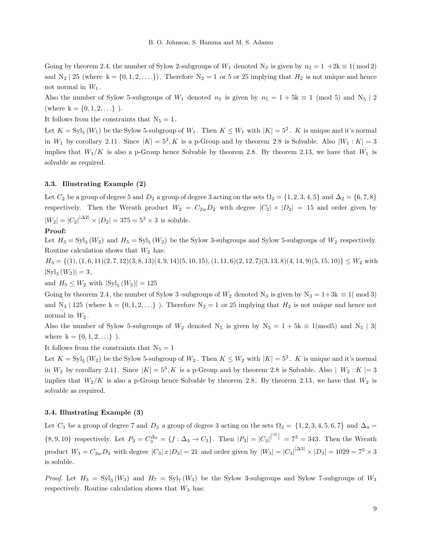Going by theorem 2.4, the number of Sylow 2-subgroups of  $W_1$  denoted  $N_2$  is given by  $n_2 = 1 + 2k \equiv 1 \pmod{2}$ and  $N_2 \mid 25 \text{ (where } k = \{0, 1, 2, \ldots\})$ . Therefore  $N_2 = 1$  or 5 or 25 implying that  $H_2$  is not unique and hence not normal in  $W_1$ .

Also the number of Sylow 5-subgroups of  $W_1$  denoted  $n_5$  is given by  $n_5 = 1 + 5k \equiv 1 \pmod{5}$  and  $N_5 \mid 2$ (where  $k = \{0, 1, 2, ...\}$ ).

It follows from the constraints that  $N_5 = 1$ .

Let  $K = \text{Syl}_5(W_1)$  be the Sylow 5-subgroup of  $W_1$ . Then  $K \leq W_1$  with  $|K| = 5^2$ . K is unique and it's normal in  $W_1$  by corollary 2.11. Since  $|K| = 5^2, K$  is a p-Group and by theorem 2.8 is Solvable. Also  $|W_1: K| = 3$ implies that  $W_1/K$  is also a p-Group hence Solvable by theorem 2.8. By theorem 2.13, we have that  $W_1$  is solvable as required.

#### 3.3. Illustrating Example (2)

Let  $C_2$  be a group of degree 5 and  $D_2$  a group of degree 3 acting on the sets  $\Omega_2 = \{1, 2, 3, 4, 5\}$  and  $\Delta_2 = \{6, 7, 8\}$ respectively. Then the Wreath product  $W_2 = C_{2w}D_2$  with degree  $|C_2| \times |D_2| = 15$  and order given by  $|W_2| = |C_2|^{|\Delta 2|} \times |D_2| = 375 = 5^3 \times 3$  is soluble.

# Proof:

Let  $H_3 = \mathrm{Syl}_3(W_2)$  and  $H_5 = \mathrm{Syl}_5(W_2)$  be the Sylow 3-subgroups and Sylow 5-subgroups of  $W_2$  respectively. Routine calculation shows that  $W_2$  has:

 $H_3 = \{(1), (1, 6, 11)(2, 7, 12)(3, 8, 13)(4, 9, 14)(5, 10, 15), (1, 11, 6)(2, 12, 7)(3, 13, 8)(4, 14, 9)(5, 15, 10)\}\leq W_2$  with  $|{\rm Syl}_3(W_2)| = 3,$ 

and  $H_5 \leq W_2$  with  $|\text{Syl}_5(W_2)| = 125$ 

Going by theorem 2.4, the number of Sylow 3-subgroups of  $W_2$  denoted N<sub>3</sub> is given by N<sub>3</sub> = 1+3k  $\equiv 1 \pmod{3}$ and N<sub>3</sub> | 125 (where k = {0, 1, 2, ...}). Therefore N<sub>2</sub> = 1 or 25 implying that  $H_2$  is not unique and hence not normal in  $W_2$ .

Also the number of Sylow 5-subgroups of  $W_2$  denoted  $N_5$  is given by  $N_5 = 1 + 5k \equiv 1 \pmod{5}$  and  $N_5 \mid 3 \pmod{5}$ where  $k = \{0, 1, 2, \ldots\}$ .

It follows from the constraints that  $N_5 = 1$ 

Let  $K = \text{Syl}_5(W_2)$  be the Sylow 5-subgroup of  $W_2$ . Then  $K \leq W_2$  with  $|K| = 5^3$ . K is unique and it's normal in  $W_2$  by corollary 2.11. Since  $|K| = 5^3, K$  is a p-Group and by theorem 2.8 is Solvable. Also  $|W_2: K| = 3$ implies that  $W_2/K$  is also a p-Group hence Solvable by theorem 2.8. By theorem 2.13, we have that  $W_2$  is solvable as required.

## 3.4. Illustrating Example (3)

Let  $C_3$  be a group of degree 7 and  $D_3$  a group of degree 3 acting on the sets  $\Omega_3 = \{1, 2, 3, 4, 5, 6, 7\}$  and  $\Delta_4 =$  $\{8,9,10\}$  respectively. Let  $P_3 = C_3^{\Delta_3} = \{f : \Delta_3 \to C_3\}$ . Then  $|P_3| = |C_3|^{|31|} = 7^3 = 343$ . Then the Wreath product  $W_3 = C_{3w}D_3$  with degree  $|C_3|x|D_3| = 21$  and order given by  $|W_3| = |C_3|^{|\Delta 3|} \times |D_3| = 1029 = 7^3 \times 3$ is soluble.

*Proof.* Let  $H_3 = Syl_3(W_3)$  and  $H_7 = Syl_7(W_3)$  be the Sylow 3-subgroups and Sylow 7-subgroups of  $W_3$ respectively. Routine calculation shows that  $W_3$  has: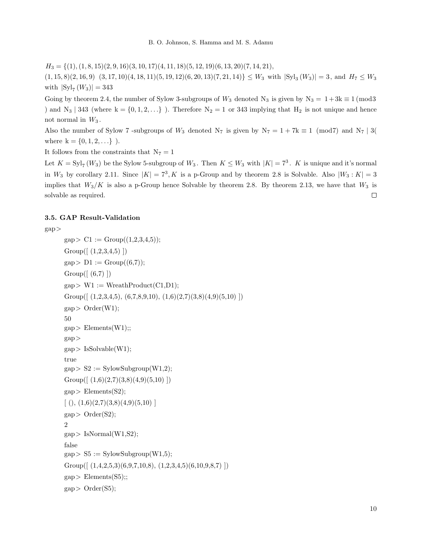$H_3 = \{(1), (1, 8, 15)(2, 9, 16)(3, 10, 17)(4, 11, 18)(5, 12, 19)(6, 13, 20)(7, 14, 21),$ 

 $(1, 15, 8)(2, 16, 9)$   $(3, 17, 10)(4, 18, 11)(5, 19, 12)(6, 20, 13)(7, 21, 14)$   $\leq W_3$  with  $|\text{Syl}_3(W_3)| = 3$ , and  $H_7 \leq W_3$ with  $|Syl_7(W_3)| = 343$ 

Going by theorem 2.4, the number of Sylow 3-subgroups of  $W_3$  denoted N<sub>3</sub> is given by N<sub>3</sub> = 1+3k  $\equiv$  1 (mod3 ) and  $N_3$  | 343 (where  $k = \{0, 1, 2, ...\}$ ). Therefore  $N_2 = 1$  or 343 implying that  $H_2$  is not unique and hence not normal in  $W_3$ .

Also the number of Sylow 7 -subgroups of  $W_3$  denoted  $N_7$  is given by  $N_7 = 1 + 7k \equiv 1 \pmod{7}$  and  $N_7 \mid 3(n+1)$ where  $k = \{0, 1, 2, ...\}$ .

It follows from the constraints that  $N_7 = 1$ 

Let  $K = \text{Syl}_7(W_3)$  be the Sylow 5-subgroup of  $W_3$ . Then  $K \leq W_3$  with  $|K| = 7^3$ . K is unique and it's normal in  $W_3$  by corollary 2.11. Since  $|K| = 7^3, K$  is a p-Group and by theorem 2.8 is Solvable. Also  $|W_3: K| = 3$ implies that  $W_3/K$  is also a p-Group hence Solvable by theorem 2.8. By theorem 2.13, we have that  $W_3$  is  $\Box$ solvable as required.

# 3.5. GAP Result-Validation

```
gap>
```

```
\text{gap} > \text{C1} := \text{Group}((1,2,3,4,5));Group([ (1,2,3,4,5) ])
gap > D1 := Group((6,7));Group((6,7)])
gap > W1 := WreathProduct(C1,D1);Group([(1,2,3,4,5), (6,7,8,9,10), (1,6)(2,7)(3,8)(4,9)(5,10)]gap > Order(W1);50
gap Elements(W1);;
gap>
gap > IsSolvable(W1);true
gap > S2 := SylowSubgroup(W1,2);Group((1,6)(2,7)(3,8)(4,9)(5,10))
gap Elements(S2);
[ (), (1,6)(2,7)(3,8)(4,9)(5,10)]
gap > Order(S2);2
gap > IsNormal(W1,S2);false
gap > S5 := SylowSubgroup(W1,5);Group([(1,4,2,5,3)(6,9,7,10,8), (1,2,3,4,5)(6,10,9,8,7)]gap Elements(S5);;
gap > Order(S5);
```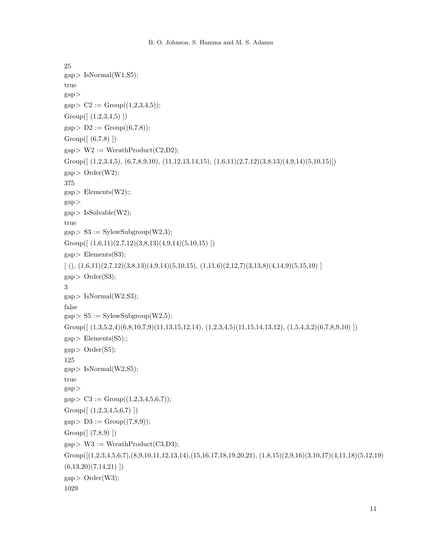```
25
gap > IsNormal(W1,S5);true
gap>
gap > C2 := Group((1,2,3,4,5));Group((1,2,3,4,5)])
gap > D2 := Group((6,7,8));Group([ (6,7,8) ])
gap > W2 := WreathProduct(C2, D2);Group([(1,2,3,4,5), (6,7,8,9,10), (11,12,13,14,15), (1,6,11)(2,7,12)(3,8,13)(4,9,14)(5,10,15)])
gap > Order(W2);375
gap Elements(W2);;
gap>
gap > IsSolvable(W2);true
gap > S3 := SylowSubgroup(W2,3);Group([(1,6,11)(2,7,12)(3,8,13)(4,9,14)(5,10,15)])
gap Elements(S3);
[ ( ), (1,6,11)(2,7,12)(3,8,13)(4,9,14)(5,10,15), (1,11,6)(2,12,7)(3,13,8)(4,14,9)(5,15,10) ]gap > Order(S3);3
gap > IsNormal(W2,S3);false
gap > S5 := SylowSubgroup(W2,5);Group([ (1,3,5,2,4)(6,8,10,7,9)(11,13,15,12,14), (1,2,3,4,5)(11,15,14,13,12), (1,5,4,3,2)(6,7,8,9,10) ])
gap Elements(S5);;
gap > Order(S5);125
gap > IsNormal(W2,S5);true
gap>
gap > C3 := Group((1,2,3,4,5,6,7));Group([ (1,2,3,4,5,6,7) ])
gap > D3 := Group((7,8,9));Group([ (7,8,9) ])
gap > W3 := WreathProduct(C3,D3);Group([(1,2,3,4,5,6,7),(8,9,10,11,12,13,14),(15,16,17,18,19,20,21), (1,8,15)(2,9,16)(3,10,17)(4,11,18)(5,12,19)
(6,13,20)(7,14,21)]
gap > Order(W3);1029
```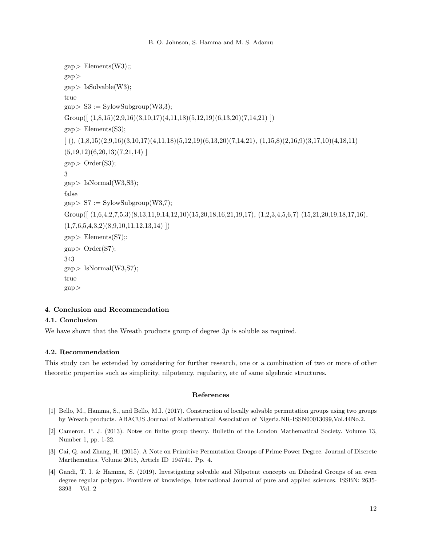```
gap Elements(W3);;
gap>
gap > IsSolvable(W3);true
gap > S3 := SylowSubgroup(W3,3);Group([(1,8,15)(2,9,16)(3,10,17)(4,11,18)(5,12,19)(6,13,20)(7,14,21)]gap Elements(S3);
[ ( ), (1,8,15)(2,9,16)(3,10,17)(4,11,18)(5,12,19)(6,13,20)(7,14,21), (1,15,8)(2,16,9)(3,17,10)(4,18,11)](5,19,12)(6,20,13)(7,21,14)gap > Order(S3);3
gap > IsNormal(W3,S3);false
gap > S7 := SylowSubgroup(W3,7);Group((1,6,4,2,7,5,3)(8,13,11,9,14,12,10)(15,20,18,16,21,19,17), (1,2,3,4,5,6,7)(15,21,20,19,18,17,16),(1,7,6,5,4,3,2)(8,9,10,11,12,13,14)]
gap Elements(S7);:
gap > Order(S7);343
gap > IsNormal(W3,S7);true
gap>
```
# <span id="page-11-4"></span>4. Conclusion and Recommendation

# 4.1. Conclusion

We have shown that the Wreath products group of degree 3p is soluble as required.

## 4.2. Recommendation

This study can be extended by considering for further research, one or a combination of two or more of other theoretic properties such as simplicity, nilpotency, regularity, etc of same algebraic structures.

# <span id="page-11-5"></span>References

- <span id="page-11-1"></span>[1] Bello, M., Hamma, S., and Bello, M.I. (2017). Construction of locally solvable permutation groups using two groups by Wreath products. ABACUS Journal of Mathematical Association of Nigeria.NR-ISSN00013099,Vol.44No.2.
- <span id="page-11-0"></span>[2] Cameron, P. J. (2013). Notes on finite group theory. Bulletin of the London Mathematical Society. Volume 13, Number 1, pp. 1-22.
- <span id="page-11-3"></span>[3] Cai, Q. and Zhang, H. (2015). A Note on Primitive Permutation Groups of Prime Power Degree. Journal of Discrete Marthematics. Volume 2015, Article ID 194741. Pp. 4.
- <span id="page-11-2"></span>[4] Gandi, T. I. & Hamma, S. (2019). Investigating solvable and Nilpotent concepts on Dihedral Groups of an even degree regular polygon. Frontiers of knowledge, International Journal of pure and applied sciences. ISSBN: 2635- 3393— Vol. 2